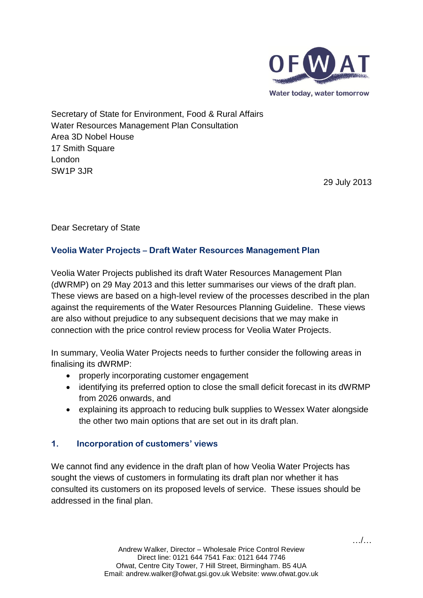

Water today, water tomorrow

Secretary of State for Environment, Food & Rural Affairs Water Resources Management Plan Consultation Area 3D Nobel House 17 Smith Square London SW1P 3JR

29 July 2013

Dear Secretary of State

# **Veolia Water Projects – Draft Water Resources Management Plan**

Veolia Water Projects published its draft Water Resources Management Plan (dWRMP) on 29 May 2013 and this letter summarises our views of the draft plan. These views are based on a high-level review of the processes described in the plan against the requirements of the Water Resources Planning Guideline. These views are also without prejudice to any subsequent decisions that we may make in connection with the price control review process for Veolia Water Projects.

In summary, Veolia Water Projects needs to further consider the following areas in finalising its dWRMP:

- properly incorporating customer engagement
- identifying its preferred option to close the small deficit forecast in its dWRMP from 2026 onwards, and
- explaining its approach to reducing bulk supplies to Wessex Water alongside the other two main options that are set out in its draft plan.

# **1. Incorporation of customers' views**

We cannot find any evidence in the draft plan of how Veolia Water Projects has sought the views of customers in formulating its draft plan nor whether it has consulted its customers on its proposed levels of service. These issues should be addressed in the final plan.